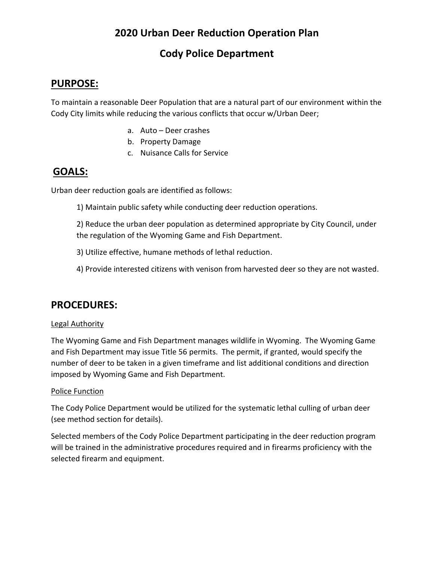# **2020 Urban Deer Reduction Operation Plan**

## **Cody Police Department**

### **PURPOSE:**

To maintain a reasonable Deer Population that are a natural part of our environment within the Cody City limits while reducing the various conflicts that occur w/Urban Deer;

- a. Auto Deer crashes
- b. Property Damage
- c. Nuisance Calls for Service

### **GOALS:**

Urban deer reduction goals are identified as follows:

1) Maintain public safety while conducting deer reduction operations.

2) Reduce the urban deer population as determined appropriate by City Council, under the regulation of the Wyoming Game and Fish Department.

- 3) Utilize effective, humane methods of lethal reduction.
- 4) Provide interested citizens with venison from harvested deer so they are not wasted.

## **PROCEDURES:**

#### Legal Authority

The Wyoming Game and Fish Department manages wildlife in Wyoming. The Wyoming Game and Fish Department may issue Title 56 permits. The permit, if granted, would specify the number of deer to be taken in a given timeframe and list additional conditions and direction imposed by Wyoming Game and Fish Department.

#### Police Function

The Cody Police Department would be utilized for the systematic lethal culling of urban deer (see method section for details).

Selected members of the Cody Police Department participating in the deer reduction program will be trained in the administrative procedures required and in firearms proficiency with the selected firearm and equipment.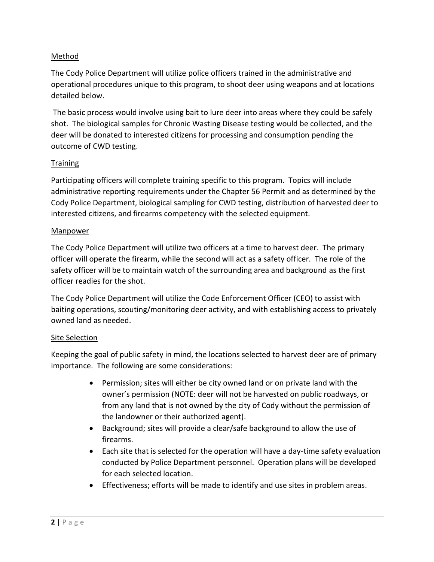#### Method

The Cody Police Department will utilize police officers trained in the administrative and operational procedures unique to this program, to shoot deer using weapons and at locations detailed below.

The basic process would involve using bait to lure deer into areas where they could be safely shot. The biological samples for Chronic Wasting Disease testing would be collected, and the deer will be donated to interested citizens for processing and consumption pending the outcome of CWD testing.

#### **Training**

Participating officers will complete training specific to this program. Topics will include administrative reporting requirements under the Chapter 56 Permit and as determined by the Cody Police Department, biological sampling for CWD testing, distribution of harvested deer to interested citizens, and firearms competency with the selected equipment.

#### Manpower

The Cody Police Department will utilize two officers at a time to harvest deer. The primary officer will operate the firearm, while the second will act as a safety officer. The role of the safety officer will be to maintain watch of the surrounding area and background as the first officer readies for the shot.

The Cody Police Department will utilize the Code Enforcement Officer (CEO) to assist with baiting operations, scouting/monitoring deer activity, and with establishing access to privately owned land as needed.

#### Site Selection

Keeping the goal of public safety in mind, the locations selected to harvest deer are of primary importance. The following are some considerations:

- Permission; sites will either be city owned land or on private land with the owner's permission (NOTE: deer will not be harvested on public roadways, or from any land that is not owned by the city of Cody without the permission of the landowner or their authorized agent).
- Background; sites will provide a clear/safe background to allow the use of firearms.
- Each site that is selected for the operation will have a day-time safety evaluation conducted by Police Department personnel. Operation plans will be developed for each selected location.
- Effectiveness; efforts will be made to identify and use sites in problem areas.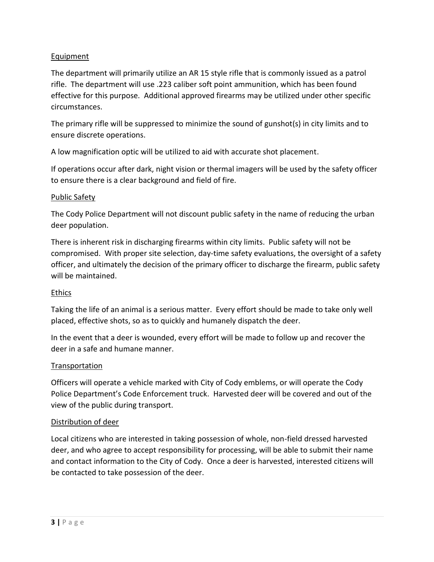#### Equipment

The department will primarily utilize an AR 15 style rifle that is commonly issued as a patrol rifle. The department will use .223 caliber soft point ammunition, which has been found effective for this purpose. Additional approved firearms may be utilized under other specific circumstances.

The primary rifle will be suppressed to minimize the sound of gunshot(s) in city limits and to ensure discrete operations.

A low magnification optic will be utilized to aid with accurate shot placement.

If operations occur after dark, night vision or thermal imagers will be used by the safety officer to ensure there is a clear background and field of fire.

#### Public Safety

The Cody Police Department will not discount public safety in the name of reducing the urban deer population.

There is inherent risk in discharging firearms within city limits. Public safety will not be compromised. With proper site selection, day-time safety evaluations, the oversight of a safety officer, and ultimately the decision of the primary officer to discharge the firearm, public safety will be maintained.

#### Ethics

Taking the life of an animal is a serious matter. Every effort should be made to take only well placed, effective shots, so as to quickly and humanely dispatch the deer.

In the event that a deer is wounded, every effort will be made to follow up and recover the deer in a safe and humane manner.

#### Transportation

Officers will operate a vehicle marked with City of Cody emblems, or will operate the Cody Police Department's Code Enforcement truck. Harvested deer will be covered and out of the view of the public during transport.

#### Distribution of deer

Local citizens who are interested in taking possession of whole, non-field dressed harvested deer, and who agree to accept responsibility for processing, will be able to submit their name and contact information to the City of Cody. Once a deer is harvested, interested citizens will be contacted to take possession of the deer.